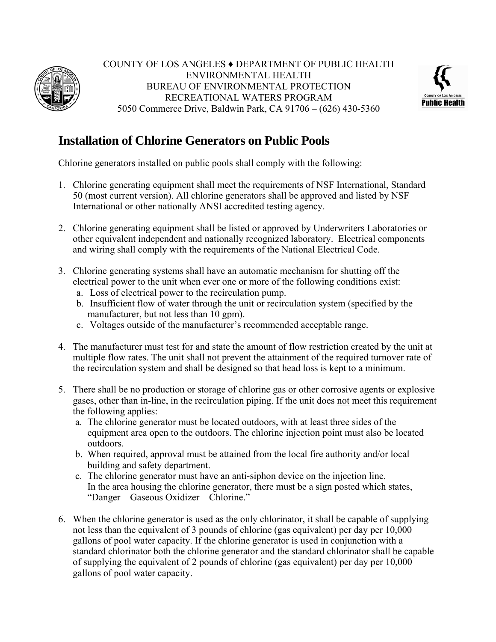

COUNTY OF LOS ANGELES ♦ DEPARTMENT OF PUBLIC HEALTH ENVIRONMENTAL HEALTH BUREAU OF ENVIRONMENTAL PROTECTION RECREATIONAL WATERS PROGRAM 5050 Commerce Drive, Baldwin Park, CA 91706 – (626) 430-5360



## **Installation of Chlorine Generators on Public Pools**

Chlorine generators installed on public pools shall comply with the following:

- 1. Chlorine generating equipment shall meet the requirements of NSF International, Standard 50 (most current version). All chlorine generators shall be approved and listed by NSF International or other nationally ANSI accredited testing agency.
- 2. Chlorine generating equipment shall be listed or approved by Underwriters Laboratories or other equivalent independent and nationally recognized laboratory. Electrical components and wiring shall comply with the requirements of the National Electrical Code.
- 3. Chlorine generating systems shall have an automatic mechanism for shutting off the electrical power to the unit when ever one or more of the following conditions exist:
	- a. Loss of electrical power to the recirculation pump.
	- b. Insufficient flow of water through the unit or recirculation system (specified by the manufacturer, but not less than 10 gpm).
	- c. Voltages outside of the manufacturer's recommended acceptable range.
- 4. The manufacturer must test for and state the amount of flow restriction created by the unit at multiple flow rates. The unit shall not prevent the attainment of the required turnover rate of the recirculation system and shall be designed so that head loss is kept to a minimum.
- 5. There shall be no production or storage of chlorine gas or other corrosive agents or explosive gases, other than in-line, in the recirculation piping. If the unit does not meet this requirement the following applies:
	- a. The chlorine generator must be located outdoors, with at least three sides of the equipment area open to the outdoors. The chlorine injection point must also be located outdoors.
	- b. When required, approval must be attained from the local fire authority and/or local building and safety department.
	- c. The chlorine generator must have an anti-siphon device on the injection line. In the area housing the chlorine generator, there must be a sign posted which states, "Danger – Gaseous Oxidizer – Chlorine."
- 6. When the chlorine generator is used as the only chlorinator, it shall be capable of supplying not less than the equivalent of 3 pounds of chlorine (gas equivalent) per day per 10,000 gallons of pool water capacity. If the chlorine generator is used in conjunction with a standard chlorinator both the chlorine generator and the standard chlorinator shall be capable of supplying the equivalent of 2 pounds of chlorine (gas equivalent) per day per 10,000 gallons of pool water capacity.